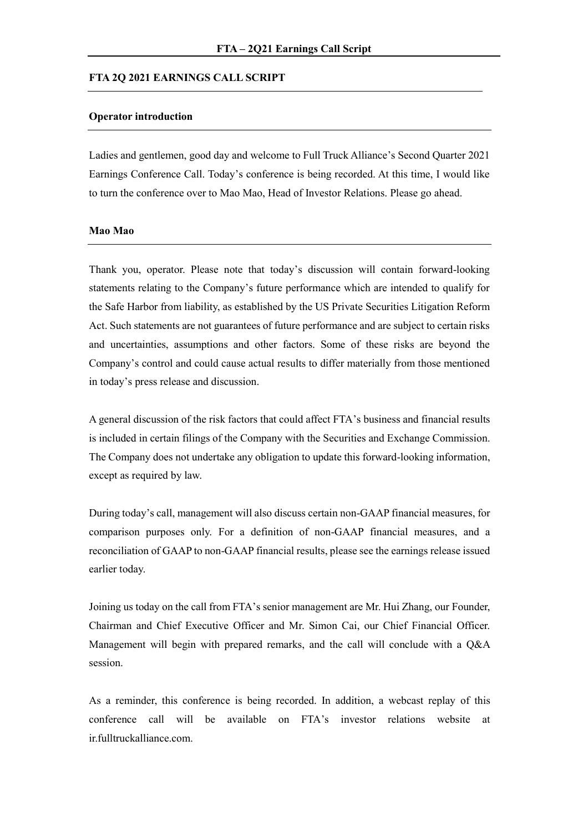#### **FTA 2Q 2021 EARNINGS CALL SCRIPT**

## **Operator introduction**

Ladies and gentlemen, good day and welcome to Full Truck Alliance's Second Quarter 2021 Earnings Conference Call. Today's conference is being recorded. At this time, I would like to turn the conference over to Mao Mao, Head of Investor Relations. Please go ahead.

#### **Mao Mao**

Thank you, operator. Please note that today's discussion will contain forward-looking statements relating to the Company's future performance which are intended to qualify for the Safe Harbor from liability, as established by the US Private Securities Litigation Reform Act. Such statements are not guarantees of future performance and are subject to certain risks and uncertainties, assumptions and other factors. Some of these risks are beyond the Company's control and could cause actual results to differ materially from those mentioned in today's press release and discussion.

A general discussion of the risk factors that could affect FTA's business and financial results is included in certain filings of the Company with the Securities and Exchange Commission. The Company does not undertake any obligation to update this forward-looking information, except as required by law.

During today's call, management will also discuss certain non-GAAP financial measures, for comparison purposes only. For a definition of non-GAAP financial measures, and a reconciliation of GAAP to non-GAAP financial results, please see the earnings release issued earlier today.

Joining us today on the call from FTA's senior management are Mr. Hui Zhang, our Founder, Chairman and Chief Executive Officer and Mr. Simon Cai, our Chief Financial Officer. Management will begin with prepared remarks, and the call will conclude with a Q&A session.

As a reminder, this conference is being recorded. In addition, a webcast replay of this conference call will be available on FTA's investor relations website at ir.fulltruckalliance.com.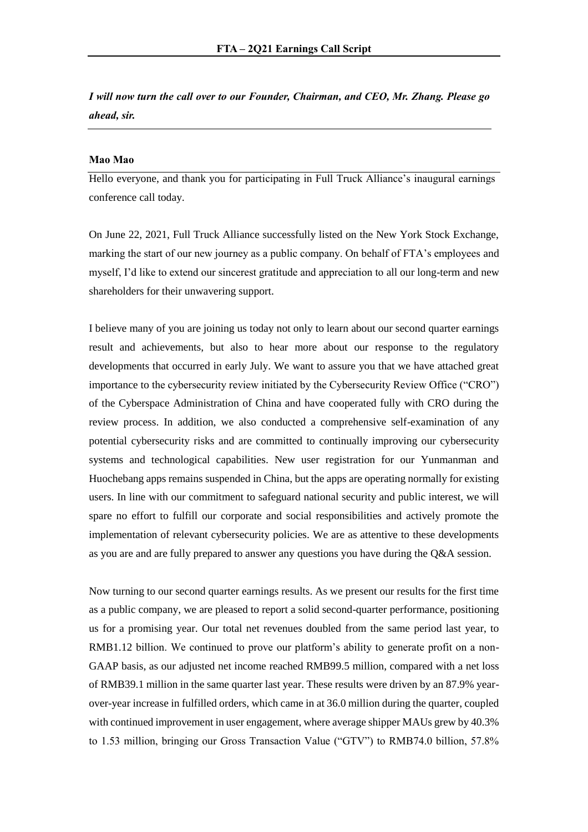*I will now turn the call over to our Founder, Chairman, and CEO, Mr. Zhang. Please go ahead, sir.* 

## **Mao Mao**

Hello everyone, and thank you for participating in Full Truck Alliance's inaugural earnings conference call today.

On June 22, 2021, Full Truck Alliance successfully listed on the New York Stock Exchange, marking the start of our new journey as a public company. On behalf of FTA's employees and myself, I'd like to extend our sincerest gratitude and appreciation to all our long-term and new shareholders for their unwavering support.

I believe many of you are joining us today not only to learn about our second quarter earnings result and achievements, but also to hear more about our response to the regulatory developments that occurred in early July. We want to assure you that we have attached great importance to the cybersecurity review initiated by the Cybersecurity Review Office ("CRO") of the Cyberspace Administration of China and have cooperated fully with CRO during the review process. In addition, we also conducted a comprehensive self-examination of any potential cybersecurity risks and are committed to continually improving our cybersecurity systems and technological capabilities. New user registration for our Yunmanman and Huochebang apps remains suspended in China, but the apps are operating normally for existing users. In line with our commitment to safeguard national security and public interest, we will spare no effort to fulfill our corporate and social responsibilities and actively promote the implementation of relevant cybersecurity policies. We are as attentive to these developments as you are and are fully prepared to answer any questions you have during the Q&A session.

Now turning to our second quarter earnings results. As we present our results for the first time as a public company, we are pleased to report a solid second-quarter performance, positioning us for a promising year. Our total net revenues doubled from the same period last year, to RMB1.12 billion. We continued to prove our platform's ability to generate profit on a non-GAAP basis, as our adjusted net income reached RMB99.5 million, compared with a net loss of RMB39.1 million in the same quarter last year. These results were driven by an 87.9% yearover-year increase in fulfilled orders, which came in at 36.0 million during the quarter, coupled with continued improvement in user engagement, where average shipper MAUs grew by 40.3% to 1.53 million, bringing our Gross Transaction Value ("GTV") to RMB74.0 billion, 57.8%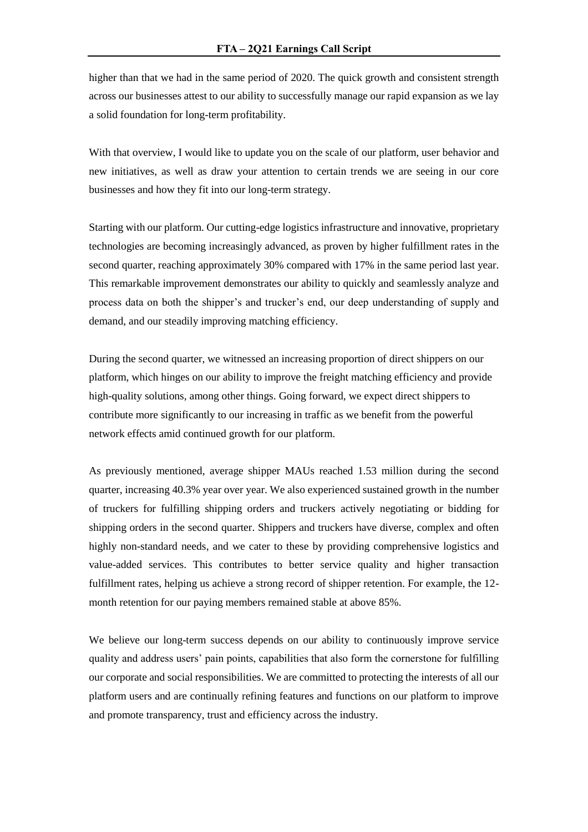higher than that we had in the same period of 2020. The quick growth and consistent strength across our businesses attest to our ability to successfully manage our rapid expansion as we lay a solid foundation for long-term profitability.

With that overview, I would like to update you on the scale of our platform, user behavior and new initiatives, as well as draw your attention to certain trends we are seeing in our core businesses and how they fit into our long-term strategy.

Starting with our platform. Our cutting-edge logistics infrastructure and innovative, proprietary technologies are becoming increasingly advanced, as proven by higher fulfillment rates in the second quarter, reaching approximately 30% compared with 17% in the same period last year. This remarkable improvement demonstrates our ability to quickly and seamlessly analyze and process data on both the shipper's and trucker's end, our deep understanding of supply and demand, and our steadily improving matching efficiency.

During the second quarter, we witnessed an increasing proportion of direct shippers on our platform, which hinges on our ability to improve the freight matching efficiency and provide high-quality solutions, among other things. Going forward, we expect direct shippers to contribute more significantly to our increasing in traffic as we benefit from the powerful network effects amid continued growth for our platform.

As previously mentioned, average shipper MAUs reached 1.53 million during the second quarter, increasing 40.3% year over year. We also experienced sustained growth in the number of truckers for fulfilling shipping orders and truckers actively negotiating or bidding for shipping orders in the second quarter. Shippers and truckers have diverse, complex and often highly non-standard needs, and we cater to these by providing comprehensive logistics and value-added services. This contributes to better service quality and higher transaction fulfillment rates, helping us achieve a strong record of shipper retention. For example, the 12 month retention for our paying members remained stable at above 85%.

We believe our long-term success depends on our ability to continuously improve service quality and address users' pain points, capabilities that also form the cornerstone for fulfilling our corporate and social responsibilities. We are committed to protecting the interests of all our platform users and are continually refining features and functions on our platform to improve and promote transparency, trust and efficiency across the industry.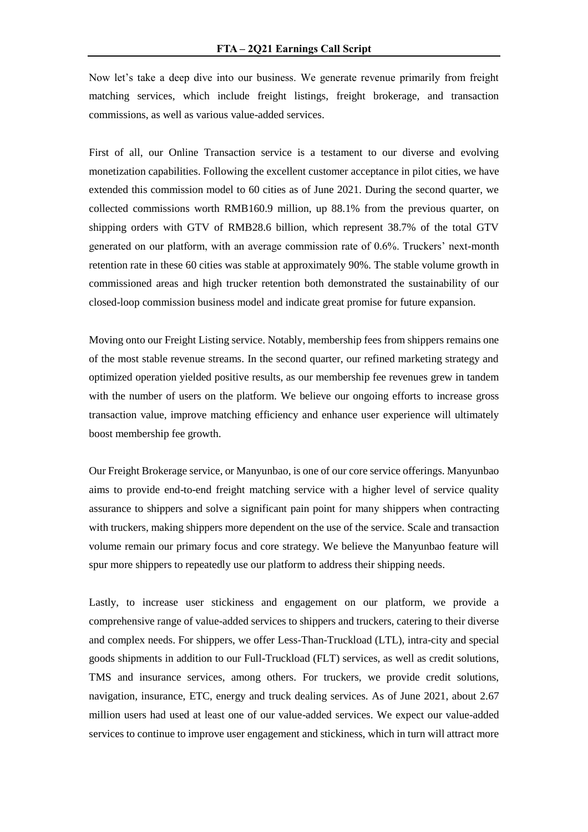Now let's take a deep dive into our business. We generate revenue primarily from freight matching services, which include freight listings, freight brokerage, and transaction commissions, as well as various value-added services.

First of all, our Online Transaction service is a testament to our diverse and evolving monetization capabilities. Following the excellent customer acceptance in pilot cities, we have extended this commission model to 60 cities as of June 2021. During the second quarter, we collected commissions worth RMB160.9 million, up 88.1% from the previous quarter, on shipping orders with GTV of RMB28.6 billion, which represent 38.7% of the total GTV generated on our platform, with an average commission rate of 0.6%. Truckers' next-month retention rate in these 60 cities was stable at approximately 90%. The stable volume growth in commissioned areas and high trucker retention both demonstrated the sustainability of our closed-loop commission business model and indicate great promise for future expansion.

Moving onto our Freight Listing service. Notably, membership fees from shippers remains one of the most stable revenue streams. In the second quarter, our refined marketing strategy and optimized operation yielded positive results, as our membership fee revenues grew in tandem with the number of users on the platform. We believe our ongoing efforts to increase gross transaction value, improve matching efficiency and enhance user experience will ultimately boost membership fee growth.

Our Freight Brokerage service, or Manyunbao, is one of our core service offerings. Manyunbao aims to provide end-to-end freight matching service with a higher level of service quality assurance to shippers and solve a significant pain point for many shippers when contracting with truckers, making shippers more dependent on the use of the service. Scale and transaction volume remain our primary focus and core strategy. We believe the Manyunbao feature will spur more shippers to repeatedly use our platform to address their shipping needs.

Lastly, to increase user stickiness and engagement on our platform, we provide a comprehensive range of value-added services to shippers and truckers, catering to their diverse and complex needs. For shippers, we offer Less-Than-Truckload (LTL), intra-city and special goods shipments in addition to our Full-Truckload (FLT) services, as well as credit solutions, TMS and insurance services, among others. For truckers, we provide credit solutions, navigation, insurance, ETC, energy and truck dealing services. As of June 2021, about 2.67 million users had used at least one of our value-added services. We expect our value-added services to continue to improve user engagement and stickiness, which in turn will attract more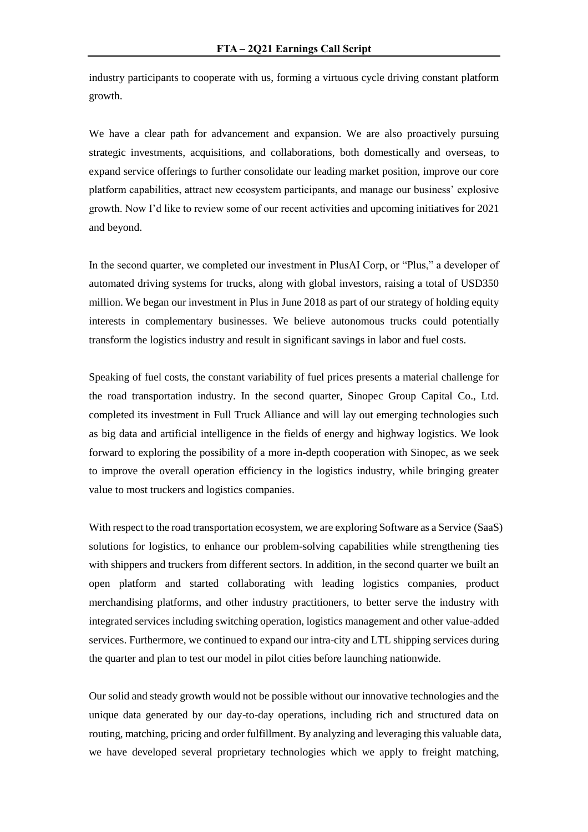industry participants to cooperate with us, forming a virtuous cycle driving constant platform growth.

We have a clear path for advancement and expansion. We are also proactively pursuing strategic investments, acquisitions, and collaborations, both domestically and overseas, to expand service offerings to further consolidate our leading market position, improve our core platform capabilities, attract new ecosystem participants, and manage our business' explosive growth. Now I'd like to review some of our recent activities and upcoming initiatives for 2021 and beyond.

In the second quarter, we completed our investment in PlusAI Corp, or "Plus," a developer of automated driving systems for trucks, along with global investors, raising a total of USD350 million. We began our investment in Plus in June 2018 as part of our strategy of holding equity interests in complementary businesses. We believe autonomous trucks could potentially transform the logistics industry and result in significant savings in labor and fuel costs.

Speaking of fuel costs, the constant variability of fuel prices presents a material challenge for the road transportation industry. In the second quarter, Sinopec Group Capital Co., Ltd. completed its investment in Full Truck Alliance and will lay out emerging technologies such as big data and artificial intelligence in the fields of energy and highway logistics. We look forward to exploring the possibility of a more in-depth cooperation with Sinopec, as we seek to improve the overall operation efficiency in the logistics industry, while bringing greater value to most truckers and logistics companies.

With respect to the road transportation ecosystem, we are exploring Software as a Service (SaaS) solutions for logistics, to enhance our problem-solving capabilities while strengthening ties with shippers and truckers from different sectors. In addition, in the second quarter we built an open platform and started collaborating with leading logistics companies, product merchandising platforms, and other industry practitioners, to better serve the industry with integrated services including switching operation, logistics management and other value-added services. Furthermore, we continued to expand our intra-city and LTL shipping services during the quarter and plan to test our model in pilot cities before launching nationwide.

Our solid and steady growth would not be possible without our innovative technologies and the unique data generated by our day-to-day operations, including rich and structured data on routing, matching, pricing and order fulfillment. By analyzing and leveraging this valuable data, we have developed several proprietary technologies which we apply to freight matching,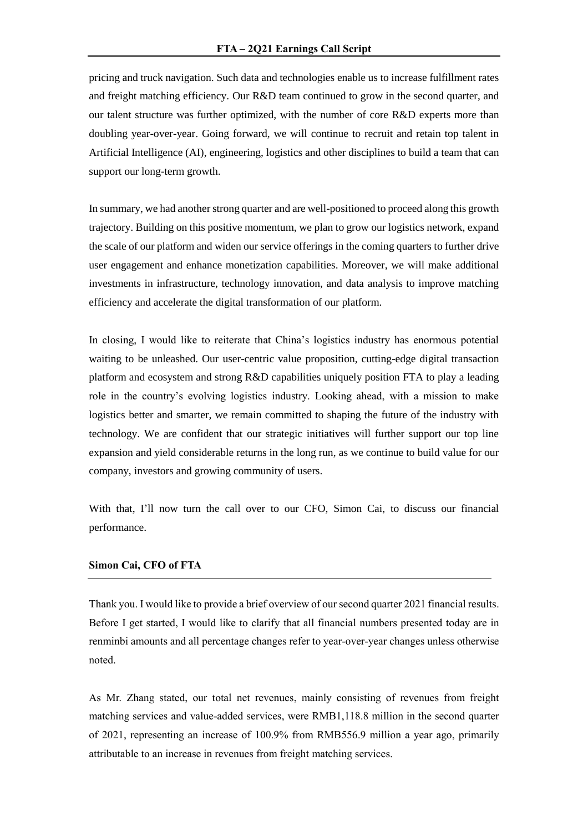pricing and truck navigation. Such data and technologies enable us to increase fulfillment rates and freight matching efficiency. Our R&D team continued to grow in the second quarter, and our talent structure was further optimized, with the number of core R&D experts more than doubling year-over-year. Going forward, we will continue to recruit and retain top talent in Artificial Intelligence (AI), engineering, logistics and other disciplines to build a team that can support our long-term growth.

In summary, we had another strong quarter and are well-positioned to proceed along this growth trajectory. Building on this positive momentum, we plan to grow our logistics network, expand the scale of our platform and widen our service offerings in the coming quarters to further drive user engagement and enhance monetization capabilities. Moreover, we will make additional investments in infrastructure, technology innovation, and data analysis to improve matching efficiency and accelerate the digital transformation of our platform.

In closing, I would like to reiterate that China's logistics industry has enormous potential waiting to be unleashed. Our user-centric value proposition, cutting-edge digital transaction platform and ecosystem and strong R&D capabilities uniquely position FTA to play a leading role in the country's evolving logistics industry. Looking ahead, with a mission to make logistics better and smarter, we remain committed to shaping the future of the industry with technology. We are confident that our strategic initiatives will further support our top line expansion and yield considerable returns in the long run, as we continue to build value for our company, investors and growing community of users.

With that, I'll now turn the call over to our CFO, Simon Cai, to discuss our financial performance.

#### **Simon Cai, CFO of FTA**

Thank you. I would like to provide a brief overview of our second quarter 2021 financial results. Before I get started, I would like to clarify that all financial numbers presented today are in renminbi amounts and all percentage changes refer to year-over-year changes unless otherwise noted.

As Mr. Zhang stated, our total net revenues, mainly consisting of revenues from freight matching services and value-added services, were RMB1,118.8 million in the second quarter of 2021, representing an increase of 100.9% from RMB556.9 million a year ago, primarily attributable to an increase in revenues from freight matching services.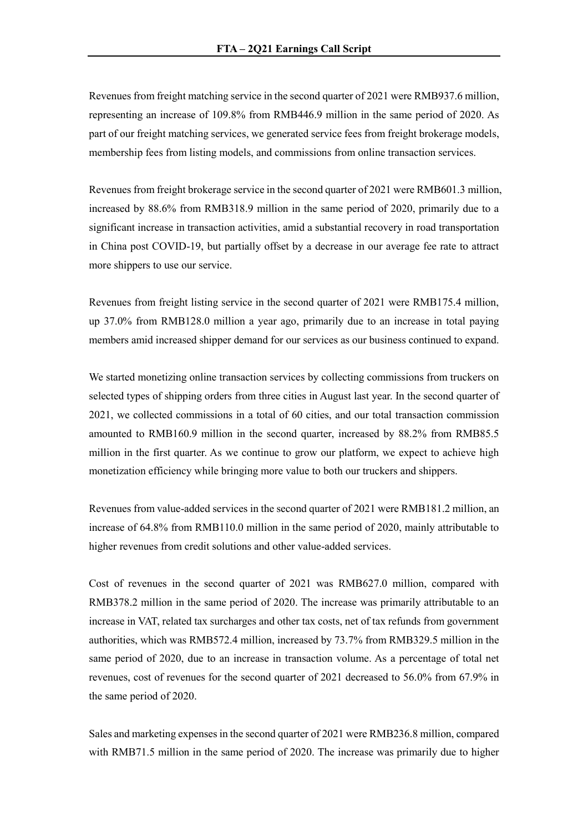Revenues from freight matching service in the second quarter of 2021 were RMB937.6 million, representing an increase of 109.8% from RMB446.9 million in the same period of 2020. As part of our freight matching services, we generated service fees from freight brokerage models, membership fees from listing models, and commissions from online transaction services.

Revenues from freight brokerage service in the second quarter of 2021 were RMB601.3 million, increased by 88.6% from RMB318.9 million in the same period of 2020, primarily due to a significant increase in transaction activities, amid a substantial recovery in road transportation in China post COVID-19, but partially offset by a decrease in our average fee rate to attract more shippers to use our service.

Revenues from freight listing service in the second quarter of 2021 were RMB175.4 million, up 37.0% from RMB128.0 million a year ago, primarily due to an increase in total paying members amid increased shipper demand for our services as our business continued to expand.

We started monetizing online transaction services by collecting commissions from truckers on selected types of shipping orders from three cities in August last year. In the second quarter of 2021, we collected commissions in a total of 60 cities, and our total transaction commission amounted to RMB160.9 million in the second quarter, increased by 88.2% from RMB85.5 million in the first quarter. As we continue to grow our platform, we expect to achieve high monetization efficiency while bringing more value to both our truckers and shippers.

Revenues from value-added services in the second quarter of 2021 were RMB181.2 million, an increase of 64.8% from RMB110.0 million in the same period of 2020, mainly attributable to higher revenues from credit solutions and other value-added services.

Cost of revenues in the second quarter of 2021 was RMB627.0 million, compared with RMB378.2 million in the same period of 2020. The increase was primarily attributable to an increase in VAT, related tax surcharges and other tax costs, net of tax refunds from government authorities, which was RMB572.4 million, increased by 73.7% from RMB329.5 million in the same period of 2020, due to an increase in transaction volume. As a percentage of total net revenues, cost of revenues for the second quarter of 2021 decreased to 56.0% from 67.9% in the same period of 2020.

Sales and marketing expenses in the second quarter of 2021 were RMB236.8 million, compared with RMB71.5 million in the same period of 2020. The increase was primarily due to higher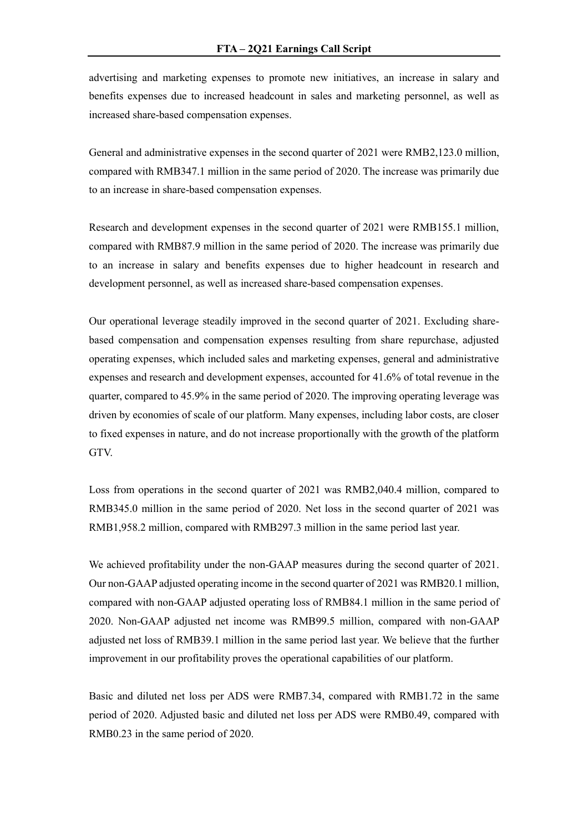advertising and marketing expenses to promote new initiatives, an increase in salary and benefits expenses due to increased headcount in sales and marketing personnel, as well as increased share-based compensation expenses.

General and administrative expenses in the second quarter of 2021 were RMB2,123.0 million, compared with RMB347.1 million in the same period of 2020. The increase was primarily due to an increase in share-based compensation expenses.

Research and development expenses in the second quarter of 2021 were RMB155.1 million, compared with RMB87.9 million in the same period of 2020. The increase was primarily due to an increase in salary and benefits expenses due to higher headcount in research and development personnel, as well as increased share-based compensation expenses.

Our operational leverage steadily improved in the second quarter of 2021. Excluding sharebased compensation and compensation expenses resulting from share repurchase, adjusted operating expenses, which included sales and marketing expenses, general and administrative expenses and research and development expenses, accounted for 41.6% of total revenue in the quarter, compared to 45.9% in the same period of 2020. The improving operating leverage was driven by economies of scale of our platform. Many expenses, including labor costs, are closer to fixed expenses in nature, and do not increase proportionally with the growth of the platform GTV.

Loss from operations in the second quarter of 2021 was RMB2,040.4 million, compared to RMB345.0 million in the same period of 2020. Net loss in the second quarter of 2021 was RMB1,958.2 million, compared with RMB297.3 million in the same period last year.

We achieved profitability under the non-GAAP measures during the second quarter of 2021. Our non-GAAP adjusted operating income in the second quarter of 2021 was RMB20.1 million, compared with non-GAAP adjusted operating loss of RMB84.1 million in the same period of 2020. Non-GAAP adjusted net income was RMB99.5 million, compared with non-GAAP adjusted net loss of RMB39.1 million in the same period last year. We believe that the further improvement in our profitability proves the operational capabilities of our platform.

Basic and diluted net loss per ADS were RMB7.34, compared with RMB1.72 in the same period of 2020. Adjusted basic and diluted net loss per ADS were RMB0.49, compared with RMB0.23 in the same period of 2020.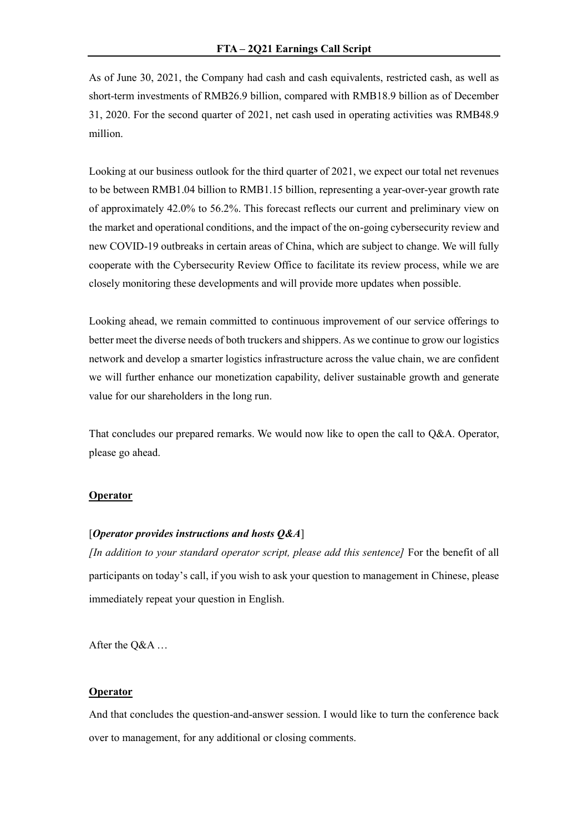As of June 30, 2021, the Company had cash and cash equivalents, restricted cash, as well as short-term investments of RMB26.9 billion, compared with RMB18.9 billion as of December 31, 2020. For the second quarter of 2021, net cash used in operating activities was RMB48.9 million.

Looking at our business outlook for the third quarter of 2021, we expect our total net revenues to be between RMB1.04 billion to RMB1.15 billion, representing a year-over-year growth rate of approximately 42.0% to 56.2%. This forecast reflects our current and preliminary view on the market and operational conditions, and the impact of the on-going cybersecurity review and new COVID-19 outbreaks in certain areas of China, which are subject to change. We will fully cooperate with the Cybersecurity Review Office to facilitate its review process, while we are closely monitoring these developments and will provide more updates when possible.

Looking ahead, we remain committed to continuous improvement of our service offerings to better meet the diverse needs of both truckers and shippers. As we continue to grow our logistics network and develop a smarter logistics infrastructure across the value chain, we are confident we will further enhance our monetization capability, deliver sustainable growth and generate value for our shareholders in the long run.

That concludes our prepared remarks. We would now like to open the call to Q&A. Operator, please go ahead.

## **Operator**

## [*Operator provides instructions and hosts Q&A*]

*[In addition to your standard operator script, please add this sentence]* For the benefit of all participants on today's call, if you wish to ask your question to management in Chinese, please immediately repeat your question in English.

After the Q&A …

## **Operator**

And that concludes the question-and-answer session. I would like to turn the conference back over to management, for any additional or closing comments.